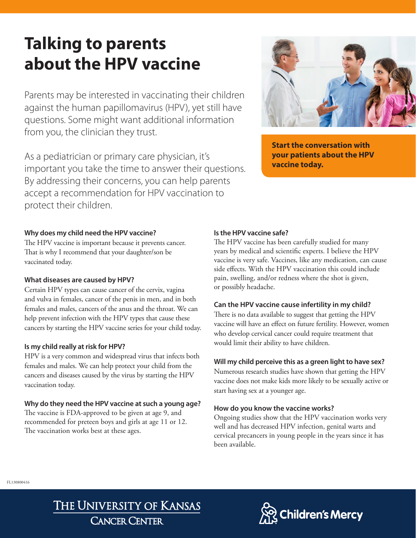## **Talking to parents about the HPV vaccine**

Parents may be interested in vaccinating their children against the human papillomavirus (HPV), yet still have questions. Some might want additional information from you, the clinician they trust.

As a pediatrician or primary care physician, it's important you take the time to answer their questions. By addressing their concerns, you can help parents accept a recommendation for HPV vaccination to protect their children.



The HPV vaccine is important because it prevents cancer. That is why I recommend that your daughter/son be vaccinated today.

### **What diseases are caused by HPV?**

Certain HPV types can cause cancer of the cervix, vagina and vulva in females, cancer of the penis in men, and in both females and males, cancers of the anus and the throat. We can help prevent infection with the HPV types that cause these cancers by starting the HPV vaccine series for your child today.

### **Is my child really at risk for HPV?**

HPV is a very common and widespread virus that infects both females and males. We can help protect your child from the cancers and diseases caused by the virus by starting the HPV vaccination today.

### **Why do they need the HPV vaccine at such a young age?**

The vaccine is FDA-approved to be given at age 9, and recommended for preteen boys and girls at age 11 or 12. The vaccination works best at these ages.

### **Is the HPV vaccine safe?**

The HPV vaccine has been carefully studied for many years by medical and scientific experts. I believe the HPV vaccine is very safe. Vaccines, like any medication, can cause side effects. With the HPV vaccination this could include pain, swelling, and/or redness where the shot is given, or possibly headache.

### **Can the HPV vaccine cause infertility in my child?**

There is no data available to suggest that getting the HPV vaccine will have an effect on future fertility. However, women who develop cervical cancer could require treatment that would limit their ability to have children.

### **Will my child perceive this as a green light to have sex?**

Numerous research studies have shown that getting the HPV vaccine does not make kids more likely to be sexually active or start having sex at a younger age.

### **How do you know the vaccine works?**

Ongoing studies show that the HPV vaccination works very well and has decreased HPV infection, genital warts and cervical precancers in young people in the years since it has been available.



### THE UNIVERSITY OF KANSAS **CANCER CENTER**





**Start the conversation with your patients about the HPV vaccine today.**